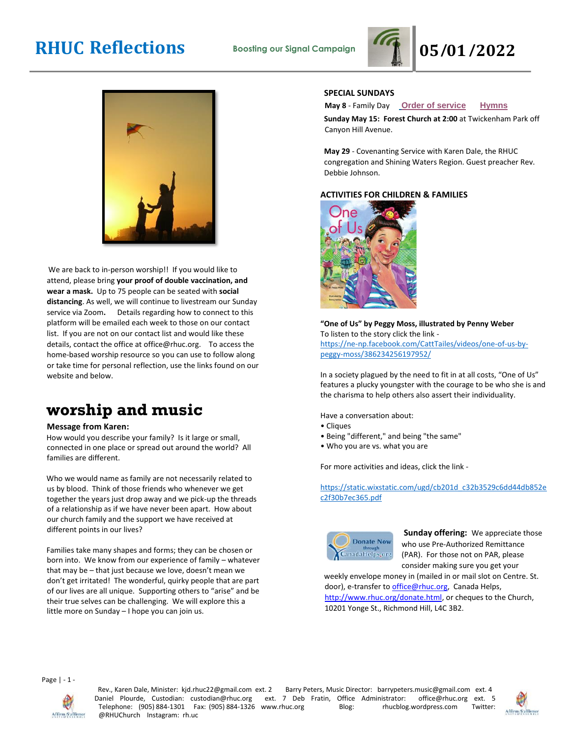



We are back to in-person worship!! If you would like to attend, please bring **your proof of double vaccination, and wear a mask.** Up to 75 people can be seated with **social distancing**. As well, we will continue to livestream our Sunday service via Zoom**.** Details regarding how to connect to this platform will be emailed each week to those on our contact list. If you are not on our contact list and would like these details, contact the office at office@rhuc.org. To access the home-based worship resource so you can use to follow along or take time for personal reflection, use the links found on our website and below.

## **worship and music**

#### **Message from Karen:**

How would you describe your family? Is it large or small, connected in one place or spread out around the world? All families are different.

Who we would name as family are not necessarily related to us by blood. Think of those friends who whenever we get together the years just drop away and we pick-up the threads of a relationship as if we have never been apart. How about our church family and the support we have received at different points in our lives?

Families take many shapes and forms; they can be chosen or born into. We know from our experience of family – whatever that may be – that just because we love, doesn't mean we don't get irritated! The wonderful, quirky people that are part of our lives are all unique. Supporting others to "arise" and be their true selves can be challenging. We will explore this a little more on Sunday – I hope you can join us.

### **SPECIAL SUNDAYS**

**May 8** - Family Day **[O](http://rhuc.org/May%208%20OofS.pdf)rder of [service](http://rhuc.org/May%208%20OofS.pdf) [Hymns](http://rhuc.org/Hymns%20for%202022%2005%2008.pdf)**

**Sunday May 15: Forest Church at 2:00** at Twickenham Park off Canyon Hill Avenue.

**May 29** - Covenanting Service with Karen Dale, the RHUC congregation and Shining Waters Region. Guest preacher Rev. Debbie Johnson.

### **ACTIVITIES FOR CHILDREN & FAMILIES**



**"One of Us" by Peggy Moss, illustrated by Penny Weber**  To listen to the story click the link -

[https://ne-np.facebook.com/CattTailes/videos/one-of-us-by](https://ne-np.facebook.com/CattTailes/videos/one-of-us-by-peggy-moss/386234256197952/)[peggy-moss/386234256197952/](https://ne-np.facebook.com/CattTailes/videos/one-of-us-by-peggy-moss/386234256197952/)

In a society plagued by the need to fit in at all costs, "One of Us" features a plucky youngster with the courage to be who she is and the charisma to help others also assert their individuality.

Have a conversation about:

- Cliques
- Being "different," and being "the same"
- Who you are vs. what you are

For more activities and ideas, click the link -

[https://static.wixstatic.com/ugd/cb201d\\_c32b3529c6dd44db852e](https://static.wixstatic.com/ugd/cb201d_c32b3529c6dd44db852ec2f30b7ec365.pdf) [c2f30b7ec365.pdf](https://static.wixstatic.com/ugd/cb201d_c32b3529c6dd44db852ec2f30b7ec365.pdf)



**Sunday offering:** We appreciate those who use Pre-Authorized Remittance (PAR). For those not on PAR, please consider making sure you get your

weekly envelope money in (mailed in or mail slot on Centre. St. door), e-transfer to office@rhuc.org, Canada Helps, [http://www.rhuc.org/donate.html,](http://www.rhuc.org/donate.html) or cheques to the Church, 10201 Yonge St., Richmond Hill, L4C 3B2.

Page | - 1 -



Rev., Karen Dale, Minister: kjd.rhuc22@gmail.com ext. 2 Barry Peters, Music Director: barrypeters.music@gmail.com ext. 4 Daniel Plourde, Custodian: custodian@rhuc.org ext. 7 Deb Fratin, Office Administrator: office@rhuc.org ext. 5 Telephone: (905) 884-1301 Fax: (905) 884-1326 www.rhuc.org Blog: rhucblog.wordpress.com Twitter: @RHUChurch Instagram: rh.uc

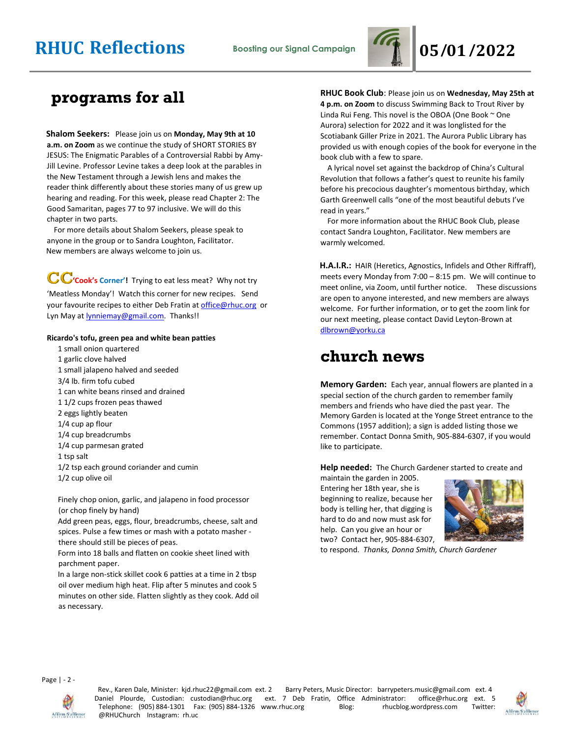

### **programs for all**

**Shalom Seekers:** Please join us on **Monday, May 9th at 10 a.m. on Zoom** as we continue the study of SHORT STORIES BY JESUS: The Enigmatic Parables of a Controversial Rabbi by Amy-Jill Levine. Professor Levine takes a deep look at the parables in the New Testament through a Jewish lens and makes the reader think differently about these stories many of us grew up hearing and reading. For this week, please read Chapter 2: The Good Samaritan, pages 77 to 97 inclusive. We will do this chapter in two parts.

 For more details about Shalom Seekers, please speak to anyone in the group or to Sandra Loughton, Facilitator. New members are always welcome to join us.

**CC**'cook's Corner'! Trying to eat less meat? Why not try 'Meatless Monday'! Watch this corner for new recipes. Send your favourite recipes to either Deb Fratin at [office@rhuc.org](mailto:office@rhuc.org) or Lyn May at **lynniemay@gmail.com**. Thanks!!

#### **Ricardo's tofu, green pea and white bean patties**

1 small onion quartered 1 garlic clove halved 1 small jalapeno halved and seeded 3/4 lb. firm tofu cubed 1 can white beans rinsed and drained 1 1/2 cups frozen peas thawed 2 eggs lightly beaten 1/4 cup ap flour 1/4 cup breadcrumbs 1/4 cup parmesan grated 1 tsp salt 1/2 tsp each ground coriander and cumin 1/2 cup olive oil

Finely chop onion, garlic, and jalapeno in food processor (or chop finely by hand)

Add green peas, eggs, flour, breadcrumbs, cheese, salt and spices. Pulse a few times or mash with a potato masher there should still be pieces of peas.

Form into 18 balls and flatten on cookie sheet lined with parchment paper.

In a large non-stick skillet cook 6 patties at a time in 2 tbsp oil over medium high heat. Flip after 5 minutes and cook 5 minutes on other side. Flatten slightly as they cook. Add oil as necessary.

**RHUC Book Club**: Please join us on **Wednesday, May 25th at 4 p.m. on Zoom** to discuss Swimming Back to Trout River by Linda Rui Feng. This novel is the OBOA (One Book ~ One Aurora) selection for 2022 and it was longlisted for the Scotiabank Giller Prize in 2021. The Aurora Public Library has provided us with enough copies of the book for everyone in the book club with a few to spare.

 A lyrical novel set against the backdrop of China's Cultural Revolution that follows a father's quest to reunite his family before his precocious daughter's momentous birthday, which Garth Greenwell calls "one of the most beautiful debuts I've read in years."

 For more information about the RHUC Book Club, please contact Sandra Loughton, Facilitator. New members are warmly welcomed.

**H.A.I.R.:** HAIR (Heretics, Agnostics, Infidels and Other Riffraff), meets every Monday from 7:00 – 8:15 pm. We will continue to meet online, via Zoom, until further notice.These discussions are open to anyone interested, and new members are always welcome. For further information, or to get the zoom link for our next meeting, please contact David Leyton-Brown at [dlbrown@yorku.ca](mailto:dlbrown@yorku.ca)

### **church news**

**Memory Garden:** Each year, annual flowers are planted in a special section of the church garden to remember family members and friends who have died the past year. The Memory Garden is located at the Yonge Street entrance to the Commons (1957 addition); a sign is added listing those we remember. Contact Donna Smith, 905-884-6307, if you would like to participate.

**Help needed:** The Church Gardener started to create and

maintain the garden in 2005. Entering her 18th year, she is beginning to realize, because her body is telling her, that digging is hard to do and now must ask for help. Can you give an hour or two? Contact her, 905-884-6307,



to respond. *Thanks, Donna Smith, Church Gardener*

Page | - 2 -



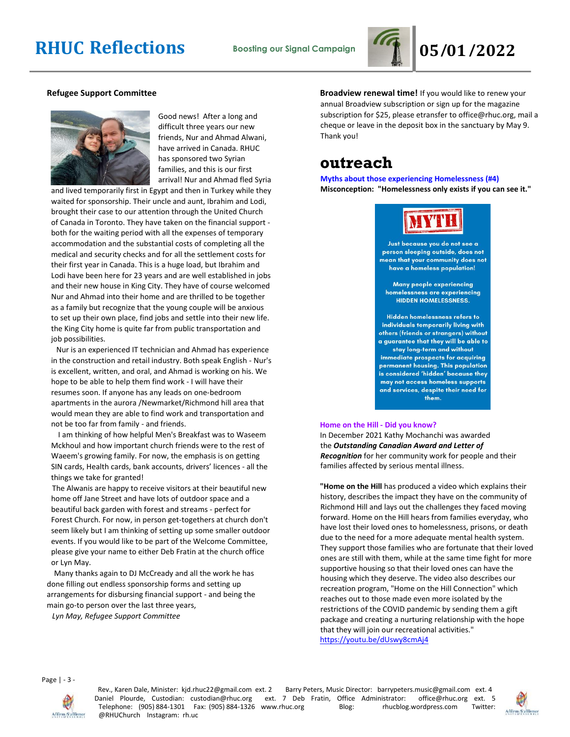

#### **Refugee Support Committee**



Good news! After a long and difficult three years our new friends, Nur and Ahmad Alwani, have arrived in Canada. RHUC has sponsored two Syrian families, and this is our first arrival! Nur and Ahmad fled Syria

and lived temporarily first in Egypt and then in Turkey while they waited for sponsorship. Their uncle and aunt, Ibrahim and Lodi, brought their case to our attention through the United Church of Canada in Toronto. They have taken on the financial support both for the waiting period with all the expenses of temporary accommodation and the substantial costs of completing all the medical and security checks and for all the settlement costs for their first year in Canada. This is a huge load, but Ibrahim and Lodi have been here for 23 years and are well established in jobs and their new house in King City. They have of course welcomed Nur and Ahmad into their home and are thrilled to be together as a family but recognize that the young couple will be anxious to set up their own place, find jobs and settle into their new life. the King City home is quite far from public transportation and job possibilities.

 Nur is an experienced IT technician and Ahmad has experience in the construction and retail industry. Both speak English - Nur's is excellent, written, and oral, and Ahmad is working on his. We hope to be able to help them find work - I will have their resumes soon. If anyone has any leads on one-bedroom apartments in the aurora /Newmarket/Richmond hill area that would mean they are able to find work and transportation and not be too far from family - and friends.

 I am thinking of how helpful Men's Breakfast was to Waseem Mckhoul and how important church friends were to the rest of Waeem's growing family. For now, the emphasis is on getting SIN cards, Health cards, bank accounts, drivers' licences - all the things we take for granted!

 The Alwanis are happy to receive visitors at their beautiful new home off Jane Street and have lots of outdoor space and a beautiful back garden with forest and streams - perfect for Forest Church. For now, in person get-togethers at church don't seem likely but I am thinking of setting up some smaller outdoor events. If you would like to be part of the Welcome Committee, please give your name to either Deb Fratin at the church office or Lyn May.

 Many thanks again to DJ McCready and all the work he has done filling out endless sponsorship forms and setting up arrangements for disbursing financial support - and being the main go-to person over the last three years,

 *Lyn May, Refugee Support Committee*

**Broadview renewal time!** If you would like to renew your annual Broadview subscription or sign up for the magazine subscription for \$25, please etransfer to office@rhuc.org, mail a cheque or leave in the deposit box in the sanctuary by May 9. Thank you!

### **outreach**

**Myths about those experiencing Homelessness (#4) Misconception: "Homelessness only exists if you can see it."**



Just because you do not see a person sleeping outside, does not mean that your community does not have a homeless population!

Many people experiencing homelessness are experiencing **HIDDEN HOMELESSNESS.** 

Hidden homelessness refers to individuals temporarily living with others (friends or strangers) without a guarantee that they will be able to stay long-term and without immediate prospects for acquiring permanent housing. This population is considered 'hidden' because they may not access homeless supports and services, despite their need for them.

#### **Home on the Hill - Did you know?**

In December 2021 Kathy Mochanchi was awarded the *Outstanding Canadian Award and Letter of Recognition* for her community work for people and their families affected by serious mental illness.

**"Home on the Hill** has produced a video which explains their history, describes the impact they have on the community of Richmond Hill and lays out the challenges they faced moving forward. Home on the Hill hears from families everyday, who have lost their loved ones to homelessness, prisons, or death due to the need for a more adequate mental health system. They support those families who are fortunate that their loved ones are still with them, while at the same time fight for more supportive housing so that their loved ones can have the housing which they deserve. The video also describes our recreation program, "Home on the Hill Connection" which reaches out to those made even more isolated by the restrictions of the COVID pandemic by sending them a gift package and creating a nurturing relationship with the hope that they will join our recreational activities." <https://youtu.be/dUswy8cmAj4>

Page | - 3 -



Rev., Karen Dale, Minister: kjd.rhuc22@gmail.com ext. 2 Barry Peters, Music Director: barrypeters.music@gmail.com ext. 4 Daniel Plourde, Custodian: custodian@rhuc.org ext. 7 Deb Fratin, Office Administrator: office@rhuc.org ext. 5<br>Telephone: (905) 884-1301 Fax: (905) 884-1326 www.rhuc.org Blog: rhucblog.wordpress.com Twitter: Telephone: (905) 884-1301 Fax: (905) 884-1326 www.rhuc.org Blog: hucblog.wordpress.com @RHUChurch Instagram: rh.uc